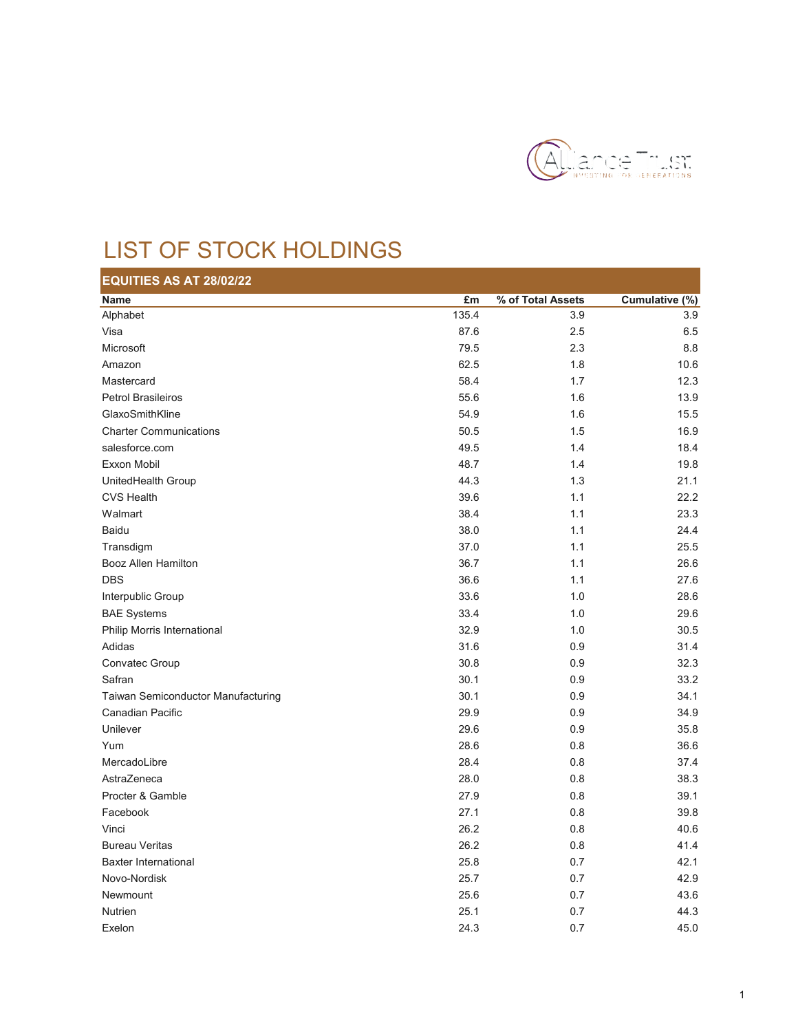

## LIST OF STOCK HOLDINGS

| <b>EQUITIES AS AT 28/02/22</b>     |       |                   |                |
|------------------------------------|-------|-------------------|----------------|
| <b>Name</b>                        | £m    | % of Total Assets | Cumulative (%) |
| Alphabet                           | 135.4 | 3.9               | 3.9            |
| Visa                               | 87.6  | 2.5               | 6.5            |
| Microsoft                          | 79.5  | 2.3               | 8.8            |
| Amazon                             | 62.5  | 1.8               | 10.6           |
| Mastercard                         | 58.4  | 1.7               | 12.3           |
| <b>Petrol Brasileiros</b>          | 55.6  | 1.6               | 13.9           |
| GlaxoSmithKline                    | 54.9  | 1.6               | 15.5           |
| <b>Charter Communications</b>      | 50.5  | 1.5               | 16.9           |
| salesforce.com                     | 49.5  | 1.4               | 18.4           |
| Exxon Mobil                        | 48.7  | 1.4               | 19.8           |
| UnitedHealth Group                 | 44.3  | 1.3               | 21.1           |
| <b>CVS Health</b>                  | 39.6  | 1.1               | 22.2           |
| Walmart                            | 38.4  | 1.1               | 23.3           |
| <b>Baidu</b>                       | 38.0  | 1.1               | 24.4           |
| Transdigm                          | 37.0  | 1.1               | 25.5           |
| Booz Allen Hamilton                | 36.7  | 1.1               | 26.6           |
| <b>DBS</b>                         | 36.6  | 1.1               | 27.6           |
| Interpublic Group                  | 33.6  | 1.0               | 28.6           |
| <b>BAE Systems</b>                 | 33.4  | 1.0               | 29.6           |
| Philip Morris International        | 32.9  | 1.0               | 30.5           |
| Adidas                             | 31.6  | 0.9               | 31.4           |
| Convatec Group                     | 30.8  | 0.9               | 32.3           |
| Safran                             | 30.1  | 0.9               | 33.2           |
| Taiwan Semiconductor Manufacturing | 30.1  | 0.9               | 34.1           |
| Canadian Pacific                   | 29.9  | 0.9               | 34.9           |
| Unilever                           | 29.6  | 0.9               | 35.8           |
| Yum                                | 28.6  | 0.8               | 36.6           |
| MercadoLibre                       | 28.4  | 0.8               | 37.4           |
| AstraZeneca                        | 28.0  | 0.8               | 38.3           |
| Procter & Gamble                   | 27.9  | 0.8               | 39.1           |
| Facebook                           | 27.1  | 0.8               | 39.8           |
| Vinci                              | 26.2  | 0.8               | 40.6           |
| <b>Bureau Veritas</b>              | 26.2  | 0.8               | 41.4           |
| <b>Baxter International</b>        | 25.8  | 0.7               | 42.1           |
| Novo-Nordisk                       | 25.7  | 0.7               | 42.9           |
| Newmount                           | 25.6  | 0.7               | 43.6           |
| <b>Nutrien</b>                     | 25.1  | 0.7               | 44.3           |
| Exelon                             | 24.3  | 0.7               | 45.0           |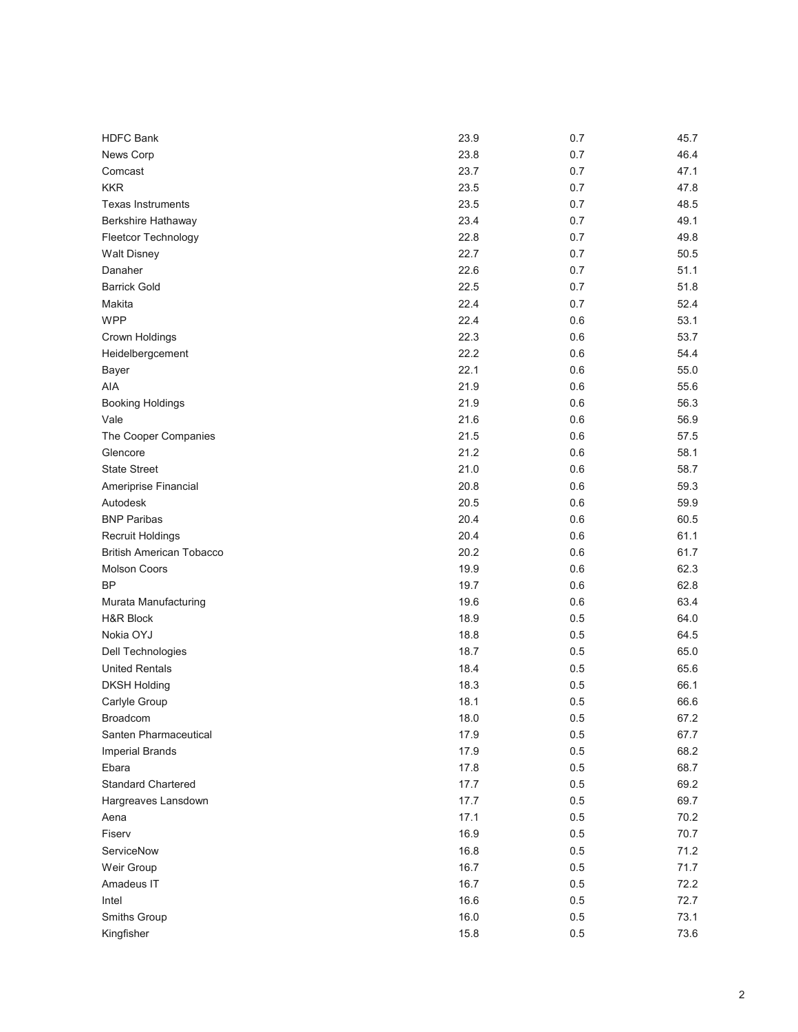| <b>HDFC Bank</b>                | 23.9 | 0.7     | 45.7 |
|---------------------------------|------|---------|------|
| News Corp                       | 23.8 | 0.7     | 46.4 |
| Comcast                         | 23.7 | 0.7     | 47.1 |
| <b>KKR</b>                      | 23.5 | 0.7     | 47.8 |
| <b>Texas Instruments</b>        | 23.5 | 0.7     | 48.5 |
| Berkshire Hathaway              | 23.4 | 0.7     | 49.1 |
| Fleetcor Technology             | 22.8 | 0.7     | 49.8 |
| <b>Walt Disney</b>              | 22.7 | 0.7     | 50.5 |
| Danaher                         | 22.6 | 0.7     | 51.1 |
| <b>Barrick Gold</b>             | 22.5 | 0.7     | 51.8 |
| Makita                          | 22.4 | 0.7     | 52.4 |
| <b>WPP</b>                      | 22.4 | 0.6     | 53.1 |
| Crown Holdings                  | 22.3 | 0.6     | 53.7 |
| Heidelbergcement                | 22.2 | 0.6     | 54.4 |
| Bayer                           | 22.1 | 0.6     | 55.0 |
| AIA                             | 21.9 | 0.6     | 55.6 |
| <b>Booking Holdings</b>         | 21.9 | 0.6     | 56.3 |
| Vale                            | 21.6 | 0.6     | 56.9 |
| The Cooper Companies            | 21.5 | 0.6     | 57.5 |
| Glencore                        | 21.2 | 0.6     | 58.1 |
| <b>State Street</b>             | 21.0 | 0.6     | 58.7 |
| Ameriprise Financial            | 20.8 | 0.6     | 59.3 |
| Autodesk                        | 20.5 | 0.6     | 59.9 |
| <b>BNP Paribas</b>              | 20.4 | 0.6     | 60.5 |
| <b>Recruit Holdings</b>         | 20.4 | 0.6     | 61.1 |
| <b>British American Tobacco</b> | 20.2 | 0.6     | 61.7 |
| <b>Molson Coors</b>             | 19.9 | 0.6     | 62.3 |
| BP                              | 19.7 | 0.6     | 62.8 |
| Murata Manufacturing            | 19.6 | 0.6     | 63.4 |
| <b>H&amp;R Block</b>            | 18.9 | 0.5     | 64.0 |
| Nokia OYJ                       | 18.8 | 0.5     | 64.5 |
| Dell Technologies               | 18.7 | 0.5     | 65.0 |
| <b>United Rentals</b>           | 18.4 | 0.5     | 65.6 |
| <b>DKSH Holding</b>             | 18.3 | 0.5     | 66.1 |
| Carlyle Group                   | 18.1 | 0.5     | 66.6 |
| Broadcom                        | 18.0 | 0.5     | 67.2 |
| Santen Pharmaceutical           | 17.9 | 0.5     | 67.7 |
| <b>Imperial Brands</b>          | 17.9 | 0.5     | 68.2 |
| Ebara                           | 17.8 | 0.5     | 68.7 |
| <b>Standard Chartered</b>       | 17.7 | 0.5     | 69.2 |
| Hargreaves Lansdown             | 17.7 | 0.5     | 69.7 |
| Aena                            | 17.1 | 0.5     | 70.2 |
| Fiserv                          | 16.9 | 0.5     | 70.7 |
| ServiceNow                      | 16.8 | 0.5     | 71.2 |
| Weir Group                      | 16.7 | 0.5     | 71.7 |
| Amadeus IT                      | 16.7 | 0.5     | 72.2 |
| Intel                           | 16.6 | $0.5\,$ | 72.7 |
| Smiths Group                    | 16.0 | $0.5\,$ | 73.1 |
| Kingfisher                      | 15.8 | 0.5     | 73.6 |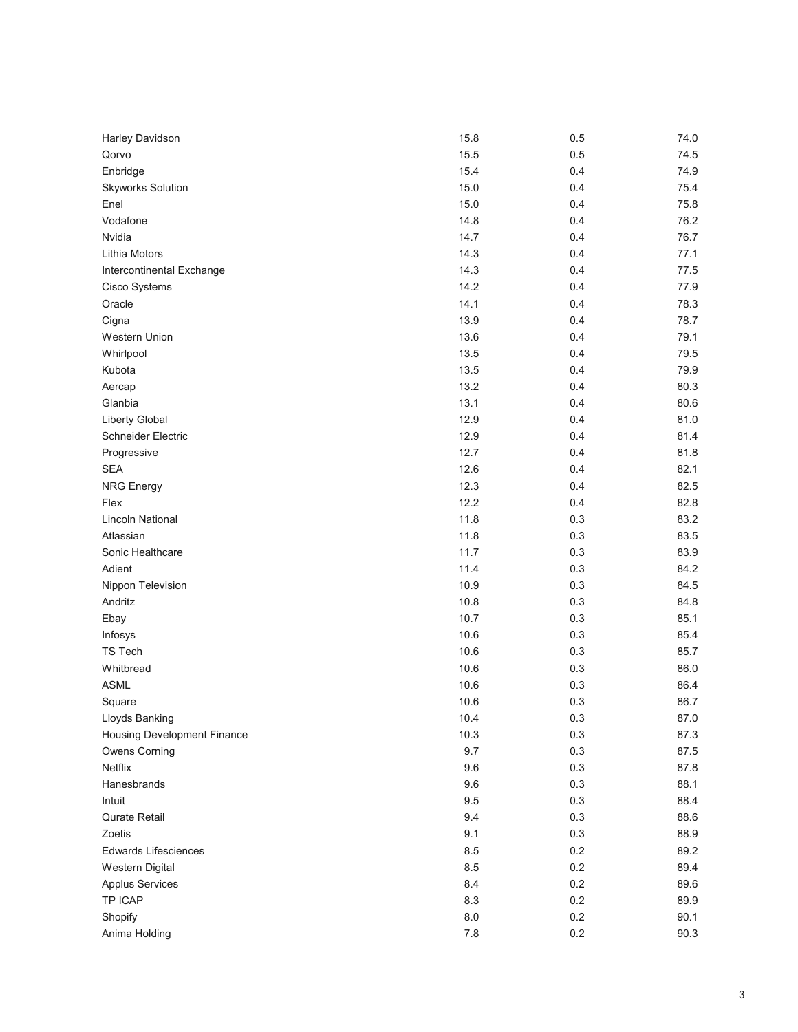| Harley Davidson                    | 15.8    | 0.5 | 74.0 |
|------------------------------------|---------|-----|------|
| Qorvo                              | 15.5    | 0.5 | 74.5 |
| Enbridge                           | 15.4    | 0.4 | 74.9 |
| <b>Skyworks Solution</b>           | 15.0    | 0.4 | 75.4 |
| Enel                               | 15.0    | 0.4 | 75.8 |
| Vodafone                           | 14.8    | 0.4 | 76.2 |
| Nvidia                             | 14.7    | 0.4 | 76.7 |
| Lithia Motors                      | 14.3    | 0.4 | 77.1 |
| Intercontinental Exchange          | 14.3    | 0.4 | 77.5 |
| Cisco Systems                      | 14.2    | 0.4 | 77.9 |
| Oracle                             | 14.1    | 0.4 | 78.3 |
| Cigna                              | 13.9    | 0.4 | 78.7 |
| Western Union                      | 13.6    | 0.4 | 79.1 |
| Whirlpool                          | 13.5    | 0.4 | 79.5 |
| Kubota                             | 13.5    | 0.4 | 79.9 |
| Aercap                             | 13.2    | 0.4 | 80.3 |
| Glanbia                            | 13.1    | 0.4 | 80.6 |
| Liberty Global                     | 12.9    | 0.4 | 81.0 |
| <b>Schneider Electric</b>          | 12.9    | 0.4 | 81.4 |
| Progressive                        | 12.7    | 0.4 | 81.8 |
| <b>SEA</b>                         | 12.6    | 0.4 | 82.1 |
| <b>NRG Energy</b>                  | 12.3    | 0.4 | 82.5 |
| Flex                               | 12.2    | 0.4 | 82.8 |
| <b>Lincoln National</b>            | 11.8    | 0.3 | 83.2 |
| Atlassian                          | 11.8    | 0.3 | 83.5 |
| Sonic Healthcare                   | 11.7    | 0.3 | 83.9 |
| Adient                             | 11.4    | 0.3 | 84.2 |
| Nippon Television                  | 10.9    | 0.3 | 84.5 |
| Andritz                            | 10.8    | 0.3 | 84.8 |
| Ebay                               | 10.7    | 0.3 | 85.1 |
| Infosys                            | 10.6    | 0.3 | 85.4 |
| TS Tech                            | 10.6    | 0.3 | 85.7 |
| Whitbread                          | 10.6    | 0.3 | 86.0 |
| <b>ASML</b>                        | 10.6    | 0.3 | 86.4 |
| Square                             | 10.6    | 0.3 | 86.7 |
| Lloyds Banking                     | 10.4    | 0.3 | 87.0 |
| <b>Housing Development Finance</b> | 10.3    | 0.3 | 87.3 |
| <b>Owens Corning</b>               | 9.7     | 0.3 | 87.5 |
| Netflix                            | 9.6     | 0.3 | 87.8 |
| Hanesbrands                        | 9.6     | 0.3 | 88.1 |
| Intuit                             | 9.5     | 0.3 | 88.4 |
| Qurate Retail                      | 9.4     | 0.3 | 88.6 |
| Zoetis                             | 9.1     | 0.3 | 88.9 |
| Edwards Lifesciences               | 8.5     | 0.2 | 89.2 |
| <b>Western Digital</b>             | 8.5     | 0.2 | 89.4 |
| <b>Applus Services</b>             | 8.4     | 0.2 | 89.6 |
| <b>TP ICAP</b>                     | 8.3     | 0.2 | 89.9 |
| Shopify                            | $8.0\,$ | 0.2 | 90.1 |
| Anima Holding                      | $7.8$   | 0.2 | 90.3 |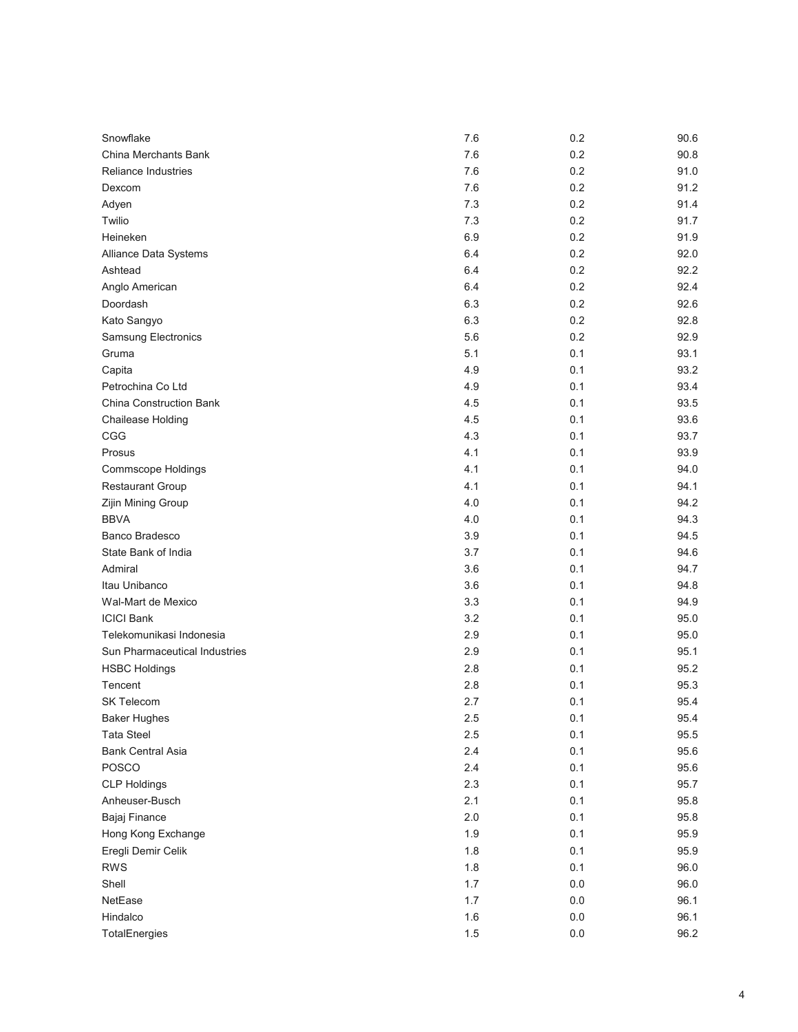| Snowflake                      | 7.6 | 0.2     | 90.6 |
|--------------------------------|-----|---------|------|
| China Merchants Bank           | 7.6 | 0.2     | 90.8 |
| <b>Reliance Industries</b>     | 7.6 | 0.2     | 91.0 |
| Dexcom                         | 7.6 | 0.2     | 91.2 |
| Adyen                          | 7.3 | 0.2     | 91.4 |
| Twilio                         | 7.3 | 0.2     | 91.7 |
| Heineken                       | 6.9 | 0.2     | 91.9 |
| Alliance Data Systems          | 6.4 | 0.2     | 92.0 |
| Ashtead                        | 6.4 | 0.2     | 92.2 |
| Anglo American                 | 6.4 | 0.2     | 92.4 |
| Doordash                       | 6.3 | 0.2     | 92.6 |
| Kato Sangyo                    | 6.3 | 0.2     | 92.8 |
| Samsung Electronics            | 5.6 | 0.2     | 92.9 |
| Gruma                          | 5.1 | 0.1     | 93.1 |
| Capita                         | 4.9 | 0.1     | 93.2 |
| Petrochina Co Ltd              | 4.9 | 0.1     | 93.4 |
| <b>China Construction Bank</b> | 4.5 | 0.1     | 93.5 |
| Chailease Holding              | 4.5 | 0.1     | 93.6 |
| CGG                            | 4.3 | 0.1     | 93.7 |
| Prosus                         | 4.1 | 0.1     | 93.9 |
| <b>Commscope Holdings</b>      | 4.1 | 0.1     | 94.0 |
| <b>Restaurant Group</b>        | 4.1 | 0.1     | 94.1 |
| Zijin Mining Group             | 4.0 | 0.1     | 94.2 |
| <b>BBVA</b>                    | 4.0 | 0.1     | 94.3 |
| Banco Bradesco                 | 3.9 | 0.1     | 94.5 |
| State Bank of India            | 3.7 | 0.1     | 94.6 |
| Admiral                        | 3.6 | 0.1     | 94.7 |
| Itau Unibanco                  | 3.6 | 0.1     | 94.8 |
| Wal-Mart de Mexico             | 3.3 | 0.1     | 94.9 |
| <b>ICICI Bank</b>              | 3.2 | 0.1     | 95.0 |
| Telekomunikasi Indonesia       | 2.9 | 0.1     | 95.0 |
| Sun Pharmaceutical Industries  | 2.9 | 0.1     | 95.1 |
| <b>HSBC Holdings</b>           | 2.8 | 0.1     | 95.2 |
| Tencent                        | 2.8 | 0.1     | 95.3 |
| <b>SK Telecom</b>              | 2.7 | 0.1     | 95.4 |
| <b>Baker Hughes</b>            | 2.5 | 0.1     | 95.4 |
| <b>Tata Steel</b>              | 2.5 | 0.1     | 95.5 |
| <b>Bank Central Asia</b>       | 2.4 | 0.1     | 95.6 |
| <b>POSCO</b>                   | 2.4 | 0.1     | 95.6 |
| <b>CLP Holdings</b>            | 2.3 | 0.1     | 95.7 |
| Anheuser-Busch                 | 2.1 | 0.1     | 95.8 |
| Bajaj Finance                  | 2.0 | 0.1     | 95.8 |
| Hong Kong Exchange             | 1.9 | 0.1     | 95.9 |
| Eregli Demir Celik             | 1.8 | 0.1     | 95.9 |
| <b>RWS</b>                     | 1.8 | 0.1     | 96.0 |
| Shell                          | 1.7 | 0.0     | 96.0 |
| NetEase                        | 1.7 | $0.0\,$ | 96.1 |
| Hindalco                       | 1.6 | $0.0\,$ | 96.1 |
| TotalEnergies                  | 1.5 | $0.0\,$ | 96.2 |